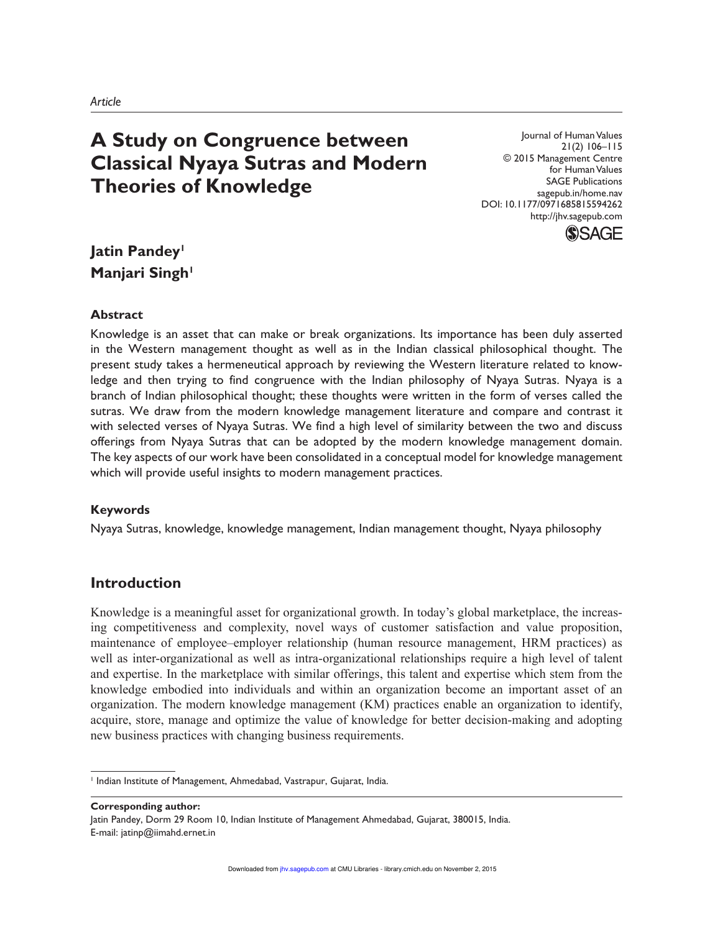# **A Study on Congruence between Classical Nyaya Sutras and Modern Theories of Knowledge**

Journal of Human Values 21(2) 106–115 © 2015 Management Centre for Human Values SAGE Publications sagepub.in/home.nav DOI: 10.1177/0971685815594262 http://jhv.sagepub.com



# **Jatin Pandey<sup>1</sup> Manjari Singh<sup>1</sup>**

#### **Abstract**

Knowledge is an asset that can make or break organizations. Its importance has been duly asserted in the Western management thought as well as in the Indian classical philosophical thought. The present study takes a hermeneutical approach by reviewing the Western literature related to knowledge and then trying to find congruence with the Indian philosophy of Nyaya Sutras. Nyaya is a branch of Indian philosophical thought; these thoughts were written in the form of verses called the sutras. We draw from the modern knowledge management literature and compare and contrast it with selected verses of Nyaya Sutras. We find a high level of similarity between the two and discuss offerings from Nyaya Sutras that can be adopted by the modern knowledge management domain. The key aspects of our work have been consolidated in a conceptual model for knowledge management which will provide useful insights to modern management practices.

#### **Keywords**

Nyaya Sutras, knowledge, knowledge management, Indian management thought, Nyaya philosophy

# **Introduction**

Knowledge is a meaningful asset for organizational growth. In today's global marketplace, the increasing competitiveness and complexity, novel ways of customer satisfaction and value proposition, maintenance of employee–employer relationship (human resource management, HRM practices) as well as inter-organizational as well as intra-organizational relationships require a high level of talent and expertise. In the marketplace with similar offerings, this talent and expertise which stem from the knowledge embodied into individuals and within an organization become an important asset of an organization. The modern knowledge management (KM) practices enable an organization to identify, acquire, store, manage and optimize the value of knowledge for better decision-making and adopting new business practices with changing business requirements.

**Corresponding author:** Jatin Pandey, Dorm 29 Room 10, Indian Institute of Management Ahmedabad, Gujarat, 380015, India. E-mail: jatinp@iimahd.ernet.in

<sup>1</sup> Indian Institute of Management, Ahmedabad, Vastrapur, Gujarat, India.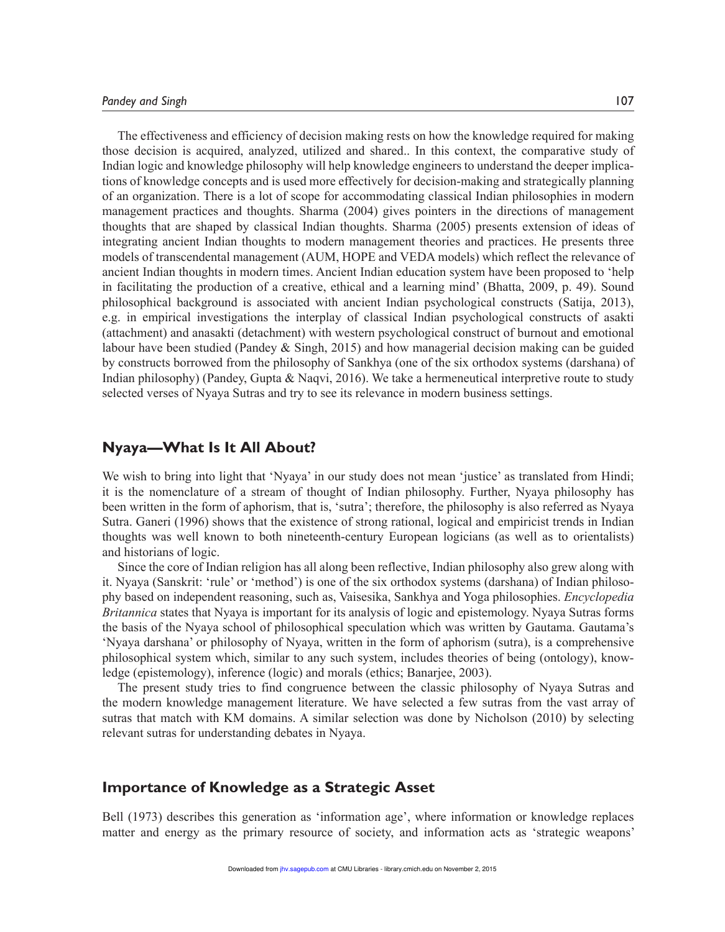The effectiveness and efficiency of decision making rests on how the knowledge required for making those decision is acquired, analyzed, utilized and shared.. In this context, the comparative study of Indian logic and knowledge philosophy will help knowledge engineers to understand the deeper implications of knowledge concepts and is used more effectively for decision-making and strategically planning of an organization. There is a lot of scope for accommodating classical Indian philosophies in modern management practices and thoughts. Sharma (2004) gives pointers in the directions of management thoughts that are shaped by classical Indian thoughts. Sharma (2005) presents extension of ideas of integrating ancient Indian thoughts to modern management theories and practices. He presents three models of transcendental management (AUM, HOPE and VEDA models) which reflect the relevance of ancient Indian thoughts in modern times. Ancient Indian education system have been proposed to 'help in facilitating the production of a creative, ethical and a learning mind' (Bhatta, 2009, p. 49). Sound philosophical background is associated with ancient Indian psychological constructs (Satija, 2013), e.g. in empirical investigations the interplay of classical Indian psychological constructs of asakti (attachment) and anasakti (detachment) with western psychological construct of burnout and emotional labour have been studied (Pandey & Singh, 2015) and how managerial decision making can be guided by constructs borrowed from the philosophy of Sankhya (one of the six orthodox systems (darshana) of Indian philosophy) (Pandey, Gupta & Naqvi, 2016). We take a hermeneutical interpretive route to study selected verses of Nyaya Sutras and try to see its relevance in modern business settings.

## **Nyaya—What Is It All About?**

We wish to bring into light that 'Nyaya' in our study does not mean 'justice' as translated from Hindi; it is the nomenclature of a stream of thought of Indian philosophy. Further, Nyaya philosophy has been written in the form of aphorism, that is, 'sutra'; therefore, the philosophy is also referred as Nyaya Sutra. Ganeri (1996) shows that the existence of strong rational, logical and empiricist trends in Indian thoughts was well known to both nineteenth-century European logicians (as well as to orientalists) and historians of logic.

Since the core of Indian religion has all along been reflective, Indian philosophy also grew along with it. Nyaya (Sanskrit: 'rule' or 'method') is one of the six orthodox systems (darshana) of Indian philosophy based on independent reasoning, such as, Vaisesika, Sankhya and Yoga philosophies. *Encyclopedia Britannica* states that Nyaya is important for its analysis of logic and epistemology. Nyaya Sutras forms the basis of the Nyaya school of philosophical speculation which was written by Gautama. Gautama's 'Nyaya darshana' or philosophy of Nyaya, written in the form of aphorism (sutra), is a comprehensive philosophical system which, similar to any such system, includes theories of being (ontology), knowledge (epistemology), inference (logic) and morals (ethics; Banarjee, 2003).

The present study tries to find congruence between the classic philosophy of Nyaya Sutras and the modern knowledge management literature. We have selected a few sutras from the vast array of sutras that match with KM domains. A similar selection was done by Nicholson (2010) by selecting relevant sutras for understanding debates in Nyaya.

#### **Importance of Knowledge as a Strategic Asset**

Bell (1973) describes this generation as 'information age', where information or knowledge replaces matter and energy as the primary resource of society, and information acts as 'strategic weapons'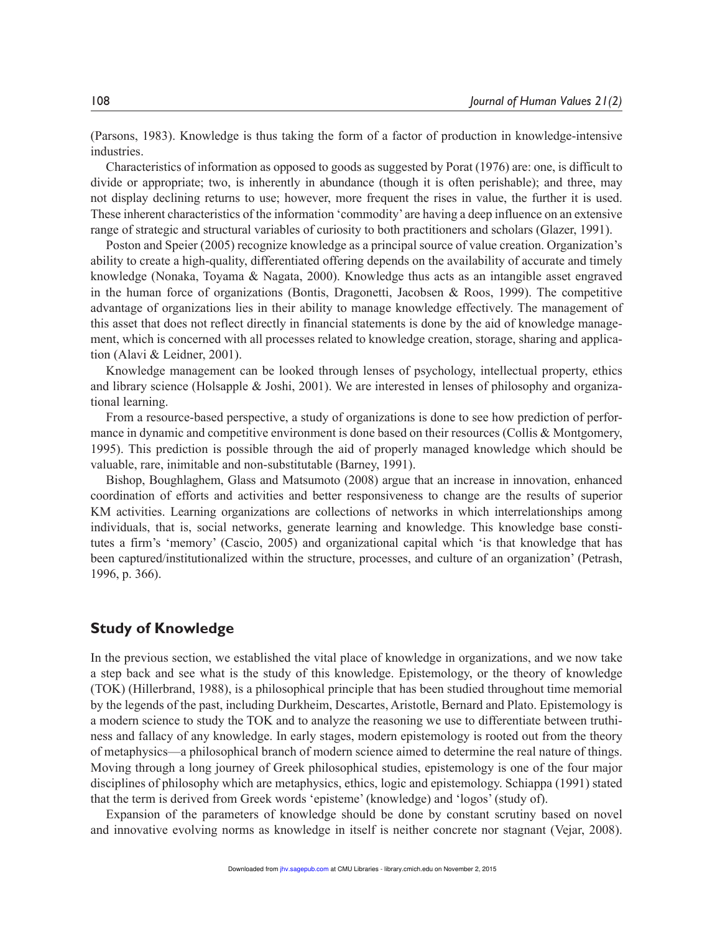(Parsons, 1983). Knowledge is thus taking the form of a factor of production in knowledge-intensive industries.

Characteristics of information as opposed to goods as suggested by Porat (1976) are: one, is difficult to divide or appropriate; two, is inherently in abundance (though it is often perishable); and three, may not display declining returns to use; however, more frequent the rises in value, the further it is used. These inherent characteristics of the information 'commodity' are having a deep influence on an extensive range of strategic and structural variables of curiosity to both practitioners and scholars (Glazer, 1991).

Poston and Speier (2005) recognize knowledge as a principal source of value creation. Organization's ability to create a high-quality, differentiated offering depends on the availability of accurate and timely knowledge (Nonaka, Toyama & Nagata, 2000). Knowledge thus acts as an intangible asset engraved in the human force of organizations (Bontis, Dragonetti, Jacobsen & Roos, 1999). The competitive advantage of organizations lies in their ability to manage knowledge effectively. The management of this asset that does not reflect directly in financial statements is done by the aid of knowledge management, which is concerned with all processes related to knowledge creation, storage, sharing and application (Alavi & Leidner, 2001).

Knowledge management can be looked through lenses of psychology, intellectual property, ethics and library science (Holsapple  $\&$  Joshi, 2001). We are interested in lenses of philosophy and organizational learning.

From a resource-based perspective, a study of organizations is done to see how prediction of performance in dynamic and competitive environment is done based on their resources (Collis & Montgomery, 1995). This prediction is possible through the aid of properly managed knowledge which should be valuable, rare, inimitable and non-substitutable (Barney, 1991).

Bishop, Boughlaghem, Glass and Matsumoto (2008) argue that an increase in innovation, enhanced coordination of efforts and activities and better responsiveness to change are the results of superior KM activities. Learning organizations are collections of networks in which interrelationships among individuals, that is, social networks, generate learning and knowledge. This knowledge base constitutes a firm's 'memory' (Cascio, 2005) and organizational capital which 'is that knowledge that has been captured/institutionalized within the structure, processes, and culture of an organization' (Petrash, 1996, p. 366).

#### **Study of Knowledge**

In the previous section, we established the vital place of knowledge in organizations, and we now take a step back and see what is the study of this knowledge. Epistemology, or the theory of knowledge (TOK) (Hillerbrand, 1988), is a philosophical principle that has been studied throughout time memorial by the legends of the past, including Durkheim, Descartes, Aristotle, Bernard and Plato. Epistemology is a modern science to study the TOK and to analyze the reasoning we use to differentiate between truthiness and fallacy of any knowledge. In early stages, modern epistemology is rooted out from the theory of metaphysics—a philosophical branch of modern science aimed to determine the real nature of things. Moving through a long journey of Greek philosophical studies, epistemology is one of the four major disciplines of philosophy which are metaphysics, ethics, logic and epistemology. Schiappa (1991) stated that the term is derived from Greek words 'episteme' (knowledge) and 'logos' (study of).

Expansion of the parameters of knowledge should be done by constant scrutiny based on novel and innovative evolving norms as knowledge in itself is neither concrete nor stagnant (Vejar, 2008).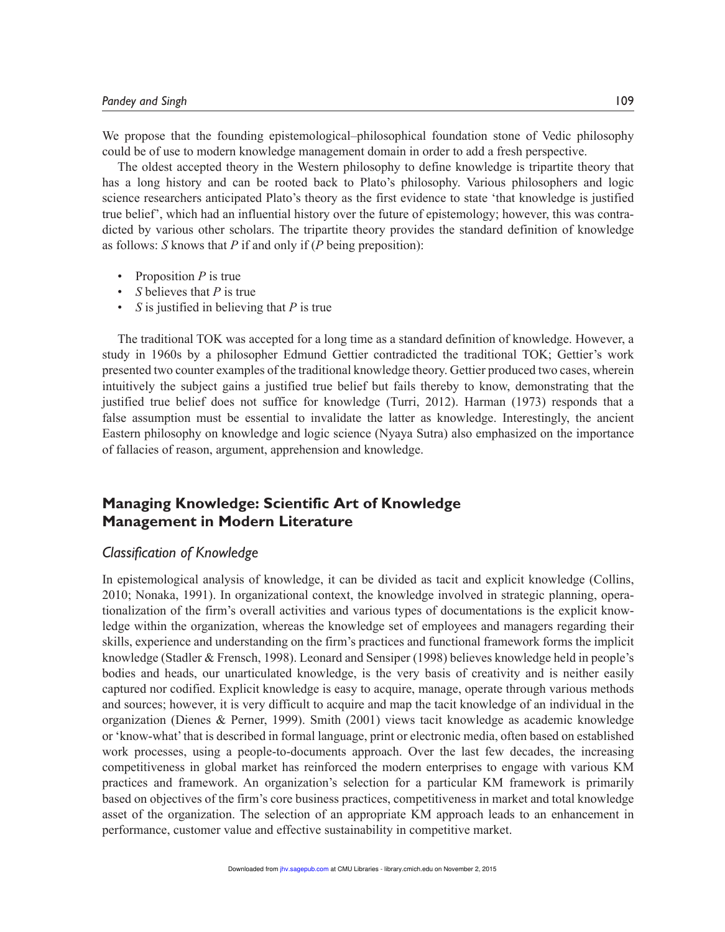We propose that the founding epistemological–philosophical foundation stone of Vedic philosophy could be of use to modern knowledge management domain in order to add a fresh perspective.

The oldest accepted theory in the Western philosophy to define knowledge is tripartite theory that has a long history and can be rooted back to Plato's philosophy. Various philosophers and logic science researchers anticipated Plato's theory as the first evidence to state 'that knowledge is justified true belief', which had an influential history over the future of epistemology; however, this was contradicted by various other scholars. The tripartite theory provides the standard definition of knowledge as follows: *S* knows that *P* if and only if (*P* being preposition):

- Proposition *P* is true
- S believes that *P* is true
- • *S* is justified in believing that *P* is true

The traditional TOK was accepted for a long time as a standard definition of knowledge. However, a study in 1960s by a philosopher Edmund Gettier contradicted the traditional TOK; Gettier's work presented two counter examples of the traditional knowledge theory. Gettier produced two cases, wherein intuitively the subject gains a justified true belief but fails thereby to know, demonstrating that the justified true belief does not suffice for knowledge (Turri, 2012). Harman (1973) responds that a false assumption must be essential to invalidate the latter as knowledge. Interestingly, the ancient Eastern philosophy on knowledge and logic science (Nyaya Sutra) also emphasized on the importance of fallacies of reason, argument, apprehension and knowledge.

# **Managing Knowledge: Scientific Art of Knowledge Management in Modern Literature**

#### *Classification of Knowledge*

In epistemological analysis of knowledge, it can be divided as tacit and explicit knowledge (Collins, 2010; Nonaka, 1991). In organizational context, the knowledge involved in strategic planning, operationalization of the firm's overall activities and various types of documentations is the explicit knowledge within the organization, whereas the knowledge set of employees and managers regarding their skills, experience and understanding on the firm's practices and functional framework forms the implicit knowledge (Stadler & Frensch, 1998). Leonard and Sensiper (1998) believes knowledge held in people's bodies and heads, our unarticulated knowledge, is the very basis of creativity and is neither easily captured nor codified. Explicit knowledge is easy to acquire, manage, operate through various methods and sources; however, it is very difficult to acquire and map the tacit knowledge of an individual in the organization (Dienes & Perner, 1999). Smith (2001) views tacit knowledge as academic knowledge or 'know-what' that is described in formal language, print or electronic media, often based on established work processes, using a people-to-documents approach. Over the last few decades, the increasing competitiveness in global market has reinforced the modern enterprises to engage with various KM practices and framework. An organization's selection for a particular KM framework is primarily based on objectives of the firm's core business practices, competitiveness in market and total knowledge asset of the organization. The selection of an appropriate KM approach leads to an enhancement in performance, customer value and effective sustainability in competitive market.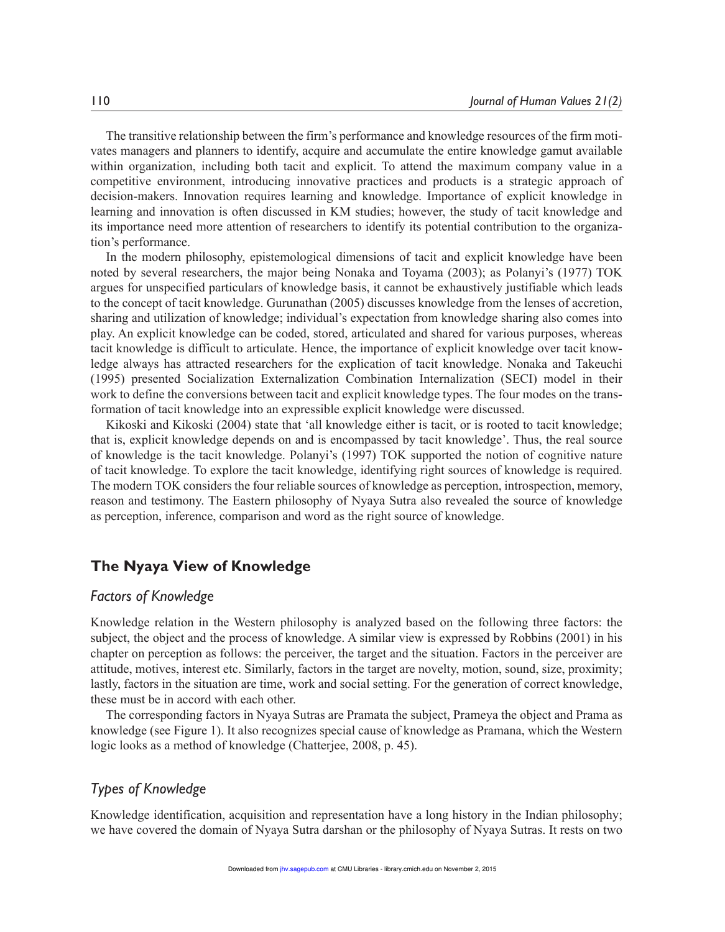The transitive relationship between the firm's performance and knowledge resources of the firm motivates managers and planners to identify, acquire and accumulate the entire knowledge gamut available within organization, including both tacit and explicit. To attend the maximum company value in a competitive environment, introducing innovative practices and products is a strategic approach of decision-makers. Innovation requires learning and knowledge. Importance of explicit knowledge in learning and innovation is often discussed in KM studies; however, the study of tacit knowledge and its importance need more attention of researchers to identify its potential contribution to the organization's performance.

In the modern philosophy, epistemological dimensions of tacit and explicit knowledge have been noted by several researchers, the major being Nonaka and Toyama (2003); as Polanyi's (1977) TOK argues for unspecified particulars of knowledge basis, it cannot be exhaustively justifiable which leads to the concept of tacit knowledge. Gurunathan (2005) discusses knowledge from the lenses of accretion, sharing and utilization of knowledge; individual's expectation from knowledge sharing also comes into play. An explicit knowledge can be coded, stored, articulated and shared for various purposes, whereas tacit knowledge is difficult to articulate. Hence, the importance of explicit knowledge over tacit knowledge always has attracted researchers for the explication of tacit knowledge. Nonaka and Takeuchi (1995) presented Socialization Externalization Combination Internalization (SECI) model in their work to define the conversions between tacit and explicit knowledge types. The four modes on the transformation of tacit knowledge into an expressible explicit knowledge were discussed.

Kikoski and Kikoski (2004) state that 'all knowledge either is tacit, or is rooted to tacit knowledge; that is, explicit knowledge depends on and is encompassed by tacit knowledge'. Thus, the real source of knowledge is the tacit knowledge. Polanyi's (1997) TOK supported the notion of cognitive nature of tacit knowledge. To explore the tacit knowledge, identifying right sources of knowledge is required. The modern TOK considers the four reliable sources of knowledge as perception, introspection, memory, reason and testimony. The Eastern philosophy of Nyaya Sutra also revealed the source of knowledge as perception, inference, comparison and word as the right source of knowledge.

## **The Nyaya View of Knowledge**

#### *Factors of Knowledge*

Knowledge relation in the Western philosophy is analyzed based on the following three factors: the subject, the object and the process of knowledge. A similar view is expressed by Robbins (2001) in his chapter on perception as follows: the perceiver, the target and the situation. Factors in the perceiver are attitude, motives, interest etc. Similarly, factors in the target are novelty, motion, sound, size, proximity; lastly, factors in the situation are time, work and social setting. For the generation of correct knowledge, these must be in accord with each other.

The corresponding factors in Nyaya Sutras are Pramata the subject, Prameya the object and Prama as knowledge (see Figure 1). It also recognizes special cause of knowledge as Pramana, which the Western logic looks as a method of knowledge (Chatterjee, 2008, p. 45).

#### *Types of Knowledge*

Knowledge identification, acquisition and representation have a long history in the Indian philosophy; we have covered the domain of Nyaya Sutra darshan or the philosophy of Nyaya Sutras. It rests on two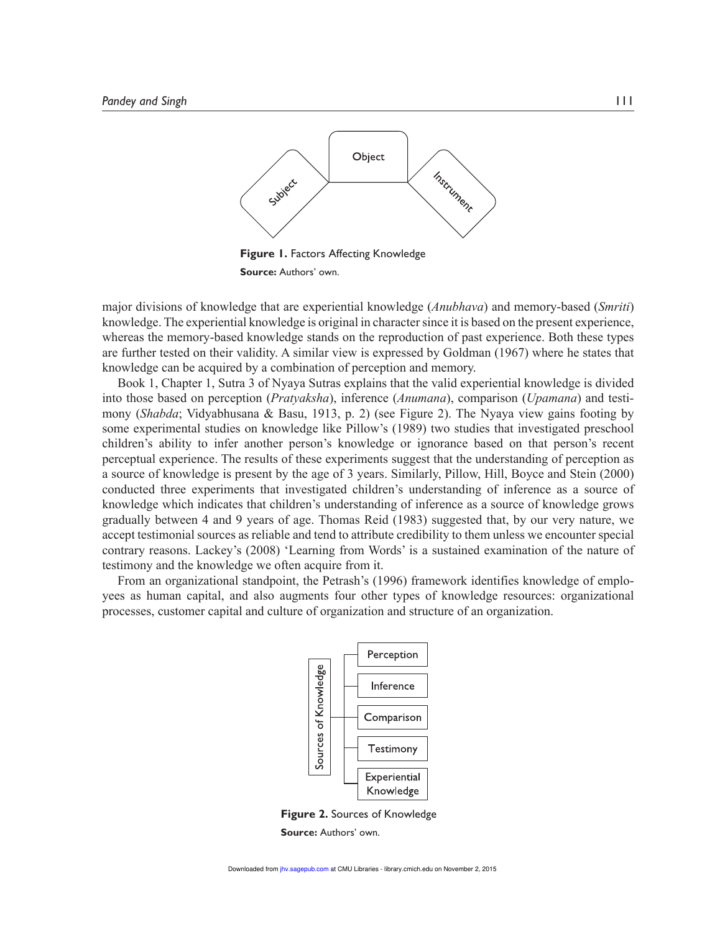

**Figure 1.** Factors Affecting Knowledge **Source:** Authors' own.

major divisions of knowledge that are experiential knowledge (*Anubhava*) and memory-based (*Smriti*) knowledge. The experiential knowledge is original in character since it is based on the present experience, whereas the memory-based knowledge stands on the reproduction of past experience. Both these types are further tested on their validity. A similar view is expressed by Goldman (1967) where he states that knowledge can be acquired by a combination of perception and memory.

Book 1, Chapter 1, Sutra 3 of Nyaya Sutras explains that the valid experiential knowledge is divided into those based on perception (*Pratyaksha*), inference (*Anumana*), comparison (*Upamana*) and testimony (*Shabda*; Vidyabhusana & Basu, 1913, p. 2) (see Figure 2). The Nyaya view gains footing by some experimental studies on knowledge like Pillow's (1989) two studies that investigated preschool children's ability to infer another person's knowledge or ignorance based on that person's recent perceptual experience. The results of these experiments suggest that the understanding of perception as a source of knowledge is present by the age of 3 years. Similarly, Pillow, Hill, Boyce and Stein (2000) conducted three experiments that investigated children's understanding of inference as a source of knowledge which indicates that children's understanding of inference as a source of knowledge grows gradually between 4 and 9 years of age. Thomas Reid (1983) suggested that, by our very nature, we accept testimonial sources as reliable and tend to attribute credibility to them unless we encounter special contrary reasons. Lackey's (2008) 'Learning from Words' is a sustained examination of the nature of testimony and the knowledge we often acquire from it.

From an organizational standpoint, the Petrash's (1996) framework identifies knowledge of employees as human capital, and also augments four other types of knowledge resources: organizational processes, customer capital and culture of organization and structure of an organization.



**Figure 2.** Sources of Knowledge **Source:** Authors' own.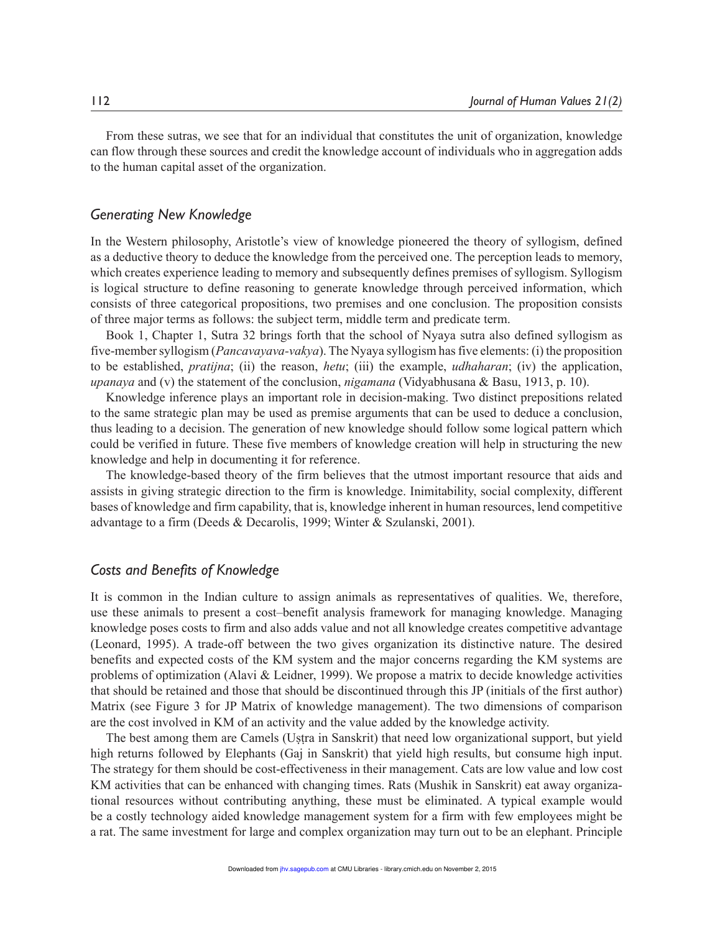From these sutras, we see that for an individual that constitutes the unit of organization, knowledge can flow through these sources and credit the knowledge account of individuals who in aggregation adds to the human capital asset of the organization.

#### *Generating New Knowledge*

In the Western philosophy, Aristotle's view of knowledge pioneered the theory of syllogism, defined as a deductive theory to deduce the knowledge from the perceived one. The perception leads to memory, which creates experience leading to memory and subsequently defines premises of syllogism. Syllogism is logical structure to define reasoning to generate knowledge through perceived information, which consists of three categorical propositions, two premises and one conclusion. The proposition consists of three major terms as follows: the subject term, middle term and predicate term.

Book 1, Chapter 1, Sutra 32 brings forth that the school of Nyaya sutra also defined syllogism as five-member syllogism (*Pancavayava-vakya*). The Nyaya syllogism has five elements: (i) the proposition to be established, *pratijna*; (ii) the reason, *hetu*; (iii) the example, *udhaharan*; (iv) the application, *upanaya* and (v) the statement of the conclusion, *nigamana* (Vidyabhusana & Basu, 1913, p. 10).

Knowledge inference plays an important role in decision-making. Two distinct prepositions related to the same strategic plan may be used as premise arguments that can be used to deduce a conclusion, thus leading to a decision. The generation of new knowledge should follow some logical pattern which could be verified in future. These five members of knowledge creation will help in structuring the new knowledge and help in documenting it for reference.

The knowledge-based theory of the firm believes that the utmost important resource that aids and assists in giving strategic direction to the firm is knowledge. Inimitability, social complexity, different bases of knowledge and firm capability, that is, knowledge inherent in human resources, lend competitive advantage to a firm (Deeds & Decarolis, 1999; Winter & Szulanski, 2001).

#### *Costs and Benefits of Knowledge*

It is common in the Indian culture to assign animals as representatives of qualities. We, therefore, use these animals to present a cost–benefit analysis framework for managing knowledge. Managing knowledge poses costs to firm and also adds value and not all knowledge creates competitive advantage (Leonard, 1995). A trade-off between the two gives organization its distinctive nature. The desired benefits and expected costs of the KM system and the major concerns regarding the KM systems are problems of optimization (Alavi & Leidner, 1999). We propose a matrix to decide knowledge activities that should be retained and those that should be discontinued through this JP (initials of the first author) Matrix (see Figure 3 for JP Matrix of knowledge management). The two dimensions of comparison are the cost involved in KM of an activity and the value added by the knowledge activity.

The best among them are Camels (Uştra in Sanskrit) that need low organizational support, but yield high returns followed by Elephants (Gaj in Sanskrit) that yield high results, but consume high input. The strategy for them should be cost-effectiveness in their management. Cats are low value and low cost KM activities that can be enhanced with changing times. Rats (Mushik in Sanskrit) eat away organizational resources without contributing anything, these must be eliminated. A typical example would be a costly technology aided knowledge management system for a firm with few employees might be a rat. The same investment for large and complex organization may turn out to be an elephant. Principle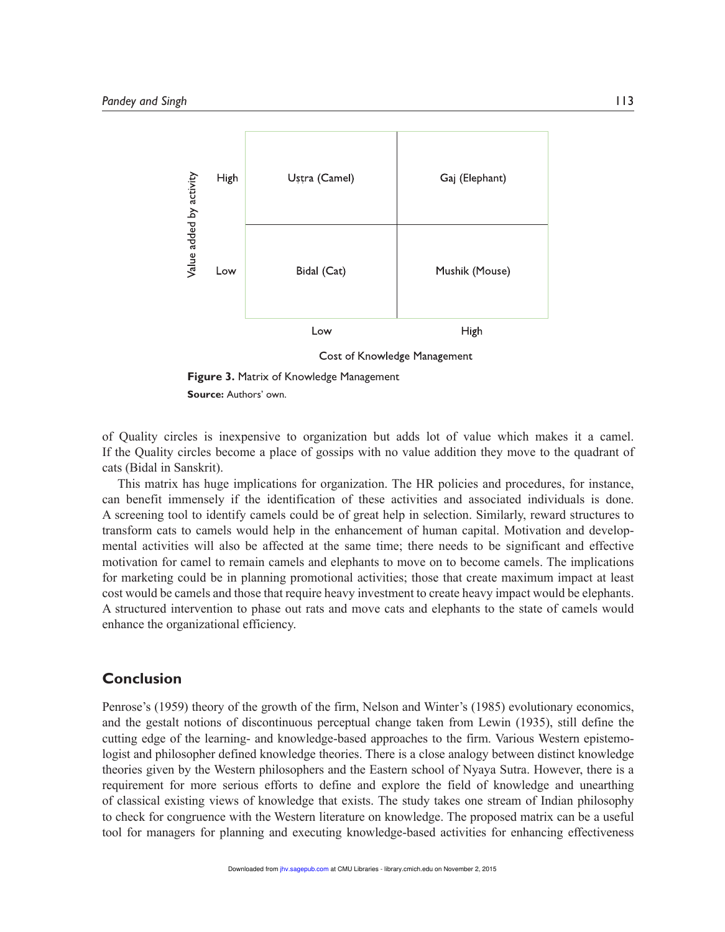

Cost of Knowledge Management

**Figure 3.** Matrix of Knowledge Management

**Source:** Authors' own.

of Quality circles is inexpensive to organization but adds lot of value which makes it a camel. If the Quality circles become a place of gossips with no value addition they move to the quadrant of cats (Bidal in Sanskrit).

This matrix has huge implications for organization. The HR policies and procedures, for instance, can benefit immensely if the identification of these activities and associated individuals is done. A screening tool to identify camels could be of great help in selection. Similarly, reward structures to transform cats to camels would help in the enhancement of human capital. Motivation and developmental activities will also be affected at the same time; there needs to be significant and effective motivation for camel to remain camels and elephants to move on to become camels. The implications for marketing could be in planning promotional activities; those that create maximum impact at least cost would be camels and those that require heavy investment to create heavy impact would be elephants. A structured intervention to phase out rats and move cats and elephants to the state of camels would enhance the organizational efficiency.

#### **Conclusion**

Penrose's (1959) theory of the growth of the firm, Nelson and Winter's (1985) evolutionary economics, and the gestalt notions of discontinuous perceptual change taken from Lewin (1935), still define the cutting edge of the learning- and knowledge-based approaches to the firm. Various Western epistemologist and philosopher defined knowledge theories. There is a close analogy between distinct knowledge theories given by the Western philosophers and the Eastern school of Nyaya Sutra. However, there is a requirement for more serious efforts to define and explore the field of knowledge and unearthing of classical existing views of knowledge that exists. The study takes one stream of Indian philosophy to check for congruence with the Western literature on knowledge. The proposed matrix can be a useful tool for managers for planning and executing knowledge-based activities for enhancing effectiveness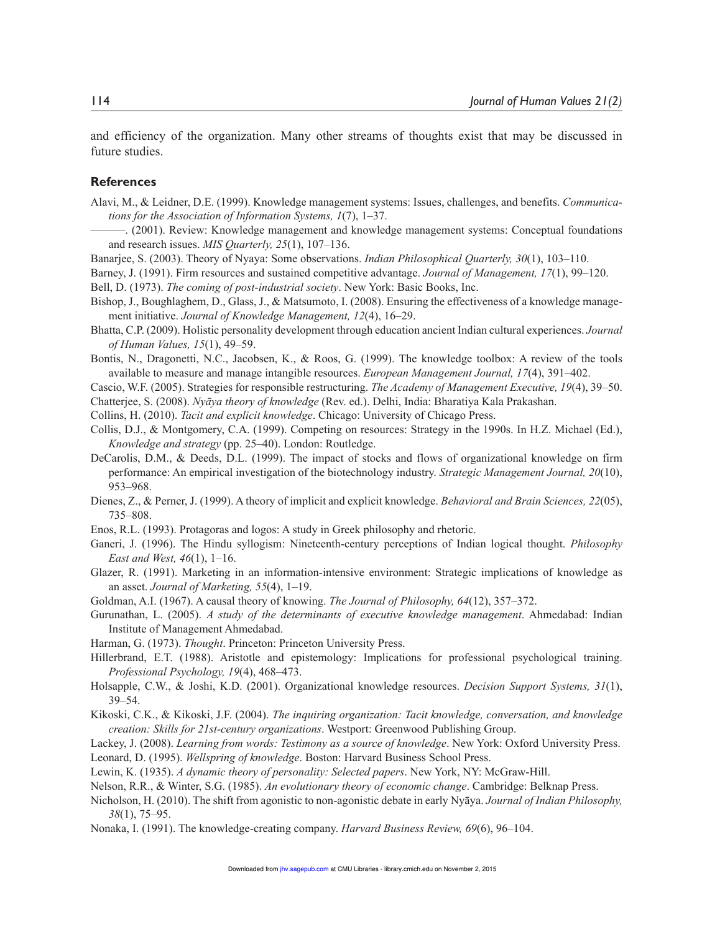and efficiency of the organization. Many other streams of thoughts exist that may be discussed in future studies.

#### **References**

- Alavi, M., & Leidner, D.E. (1999). Knowledge management systems: Issues, challenges, and benefits. *Communications for the Association of Information Systems, 1*(7), 1–37.
- ———. (2001). Review: Knowledge management and knowledge management systems: Conceptual foundations and research issues. *MIS Quarterly, 25*(1), 107–136.
- Banarjee, S. (2003). Theory of Nyaya: Some observations. *Indian Philosophical Quarterly, 30*(1), 103–110.
- Barney, J. (1991). Firm resources and sustained competitive advantage. *Journal of Management, 17*(1), 99–120.
- Bell, D. (1973). *The coming of post-industrial society*. New York: Basic Books, Inc.
- Bishop, J., Boughlaghem, D., Glass, J., & Matsumoto, I. (2008). Ensuring the effectiveness of a knowledge management initiative. *Journal of Knowledge Management, 12*(4), 16–29.
- Bhatta, C.P. (2009). Holistic personality development through education ancient Indian cultural experiences. *Journal of Human Values, 15*(1), 49–59.
- Bontis, N., Dragonetti, N.C., Jacobsen, K., & Roos, G. (1999). The knowledge toolbox: A review of the tools available to measure and manage intangible resources. *European Management Journal, 17*(4), 391–402.
- Cascio, W.F. (2005). Strategies for responsible restructuring. *The Academy of Management Executive, 19*(4), 39–50.
- Chatterjee, S. (2008). *Nyāya theory of knowledge* (Rev. ed.). Delhi, India: Bharatiya Kala Prakashan.
- Collins, H. (2010). *Tacit and explicit knowledge*. Chicago: University of Chicago Press.
- Collis, D.J., & Montgomery, C.A. (1999). Competing on resources: Strategy in the 1990s. In H.Z. Michael (Ed.), *Knowledge and strategy* (pp. 25–40). London: Routledge.
- DeCarolis, D.M., & Deeds, D.L. (1999). The impact of stocks and flows of organizational knowledge on firm performance: An empirical investigation of the biotechnology industry. *Strategic Management Journal, 20*(10), 953–968.
- Dienes, Z., & Perner, J. (1999). A theory of implicit and explicit knowledge. *Behavioral and Brain Sciences, 22*(05), 735–808.
- Enos, R.L. (1993). Protagoras and logos: A study in Greek philosophy and rhetoric.
- Ganeri, J. (1996). The Hindu syllogism: Nineteenth-century perceptions of Indian logical thought. *Philosophy East and West, 46*(1), 1–16.
- Glazer, R. (1991). Marketing in an information-intensive environment: Strategic implications of knowledge as an asset. *Journal of Marketing, 55*(4), 1–19.
- Goldman, A.I. (1967). A causal theory of knowing. *The Journal of Philosophy, 64*(12), 357–372.
- Gurunathan, L. (2005). *A study of the determinants of executive knowledge management*. Ahmedabad: Indian Institute of Management Ahmedabad.
- Harman, G. (1973). *Thought*. Princeton: Princeton University Press.
- Hillerbrand, E.T. (1988). Aristotle and epistemology: Implications for professional psychological training. *Professional Psychology, 19*(4), 468–473.
- Holsapple, C.W., & Joshi, K.D. (2001). Organizational knowledge resources. *Decision Support Systems, 31*(1), 39–54.
- Kikoski, C.K., & Kikoski, J.F. (2004). *The inquiring organization: Tacit knowledge, conversation, and knowledge creation: Skills for 21st-century organizations*. Westport: Greenwood Publishing Group.
- Lackey, J. (2008). *Learning from words: Testimony as a source of knowledge*. New York: Oxford University Press. Leonard, D. (1995). *Wellspring of knowledge*. Boston: Harvard Business School Press.
- Lewin, K. (1935). *A dynamic theory of personality: Selected papers*. New York, NY: McGraw-Hill.
- Nelson, R.R., & Winter, S.G. (1985). *An evolutionary theory of economic change*. Cambridge: Belknap Press.
- Nicholson, H. (2010). The shift from agonistic to non-agonistic debate in early Nyāya. *Journal of Indian Philosophy, 38*(1), 75–95.
- Nonaka, I. (1991). The knowledge-creating company. *Harvard Business Review, 69*(6), 96–104.